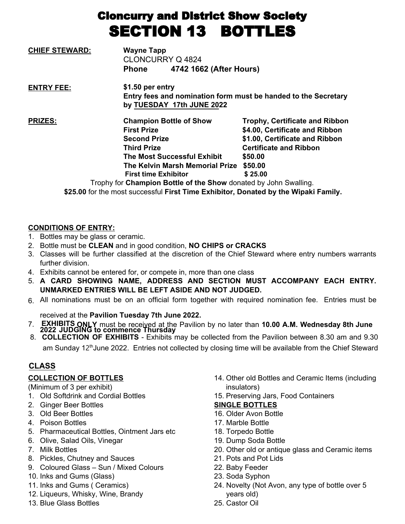# Cloncurry and District Show Society SECTION 13 BOTTLES

| <b>CHIEF STEWARD:</b> | <b>Wayne Tapp</b><br><b>CLONCURRY Q 4824</b>                                                                                                                                                                                                                                  |                                                                                                                                                                             |  |
|-----------------------|-------------------------------------------------------------------------------------------------------------------------------------------------------------------------------------------------------------------------------------------------------------------------------|-----------------------------------------------------------------------------------------------------------------------------------------------------------------------------|--|
|                       | 4742 1662 (After Hours)<br><b>Phone</b>                                                                                                                                                                                                                                       |                                                                                                                                                                             |  |
| <b>ENTRY FEE:</b>     | \$1.50 per entry                                                                                                                                                                                                                                                              | Entry fees and nomination form must be handed to the Secretary<br>by TUESDAY 17th JUNE 2022                                                                                 |  |
| <b>PRIZES:</b>        | <b>Champion Bottle of Show</b><br><b>First Prize</b><br><b>Second Prize</b><br><b>Third Prize</b><br><b>The Most Successful Exhibit</b><br>The Kelvin Marsh Memorial Prize<br><b>First time Exhibitor</b><br>Trophy for Champion Bottle of the Show donated by John Swalling. | <b>Trophy, Certificate and Ribbon</b><br>\$4.00, Certificate and Ribbon<br>\$1.00, Certificate and Ribbon<br><b>Certificate and Ribbon</b><br>\$50.00<br>\$50.00<br>\$25.00 |  |

**\$25.00** for the most successful **First Time Exhibitor, Donated by the Wipaki Family.**

## **CONDITIONS OF ENTRY:**

- 1. Bottles may be glass or ceramic.
- 2. Bottle must be **CLEAN** and in good condition, **NO CHIPS or CRACKS**
- 3. Classes will be further classified at the discretion of the Chief Steward where entry numbers warrants further division.
- 4. Exhibits cannot be entered for, or compete in, more than one class
- 5. **A CARD SHOWING NAME, ADDRESS AND SECTION MUST ACCOMPANY EACH ENTRY. UNMARKED ENTRIES WILL BE LEFT ASIDE AND NOT JUDGED.**
- 6. All nominations must be on an official form together with required nomination fee. Entries must be

received at the **Pavilion Tuesday 7th June 2022.**

- 7. **2022 EXHIBITS JUDGING ONLY to**  must be **commence Thursday** received at the Pavilion by no later than **10.00 A.M. Wednesday 8th June**
- 8. **COLLECTION OF EXHIBITS** Exhibits may be collected from the Pavilion between 8.30 am and 9.30 am Sunday 12<sup>th</sup>June 2022. Entries not collected by closing time will be available from the Chief Steward

# **CLASS**

#### **COLLECTION OF BOTTLES**

(Minimum of 3 per exhibit)

- 1. Old Softdrink and Cordial Bottles
- 2. Ginger Beer Bottles
- 3. Old Beer Bottles
- 4. Poison Bottles
- 5. Pharmaceutical Bottles, Ointment Jars etc
- 6. Olive, Salad Oils, Vinegar
- 7. Milk Bottles
- 8. Pickles, Chutney and Sauces
- 9. Coloured Glass Sun / Mixed Colours
- 10. Inks and Gums (Glass)
- 11. Inks and Gums ( Ceramics)
- 12. Liqueurs, Whisky, Wine, Brandy
- 13. Blue Glass Bottles
- 14. Other old Bottles and Ceramic Items (including insulators)
- 15. Preserving Jars, Food Containers

#### **SINGLE BOTTLES**

- 16. Older Avon Bottle
- 17. Marble Bottle
- 18. Torpedo Bottle
- 19. Dump Soda Bottle
- 20. Other old or antique glass and Ceramic items
- 21. Pots and Pot Lids
- 22. Baby Feeder
- 23. Soda Syphon
- 24. Novelty (Not Avon, any type of bottle over 5 years old)
- 25. Castor Oil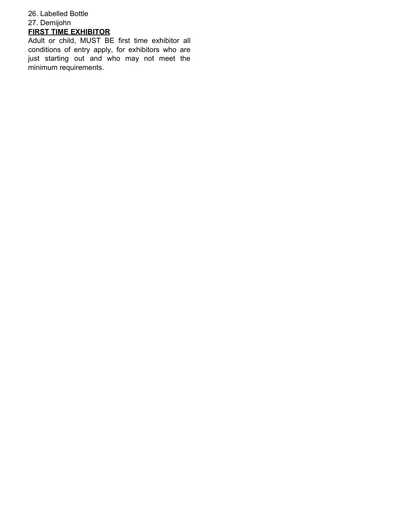### 26. Labelled Bottle 27. Demijohn **FIRST TIME EXHIBITOR**

Adult or child, MUST BE first time exhibitor all conditions of entry apply, for exhibitors who are just starting out and who may not meet the minimum requirements.